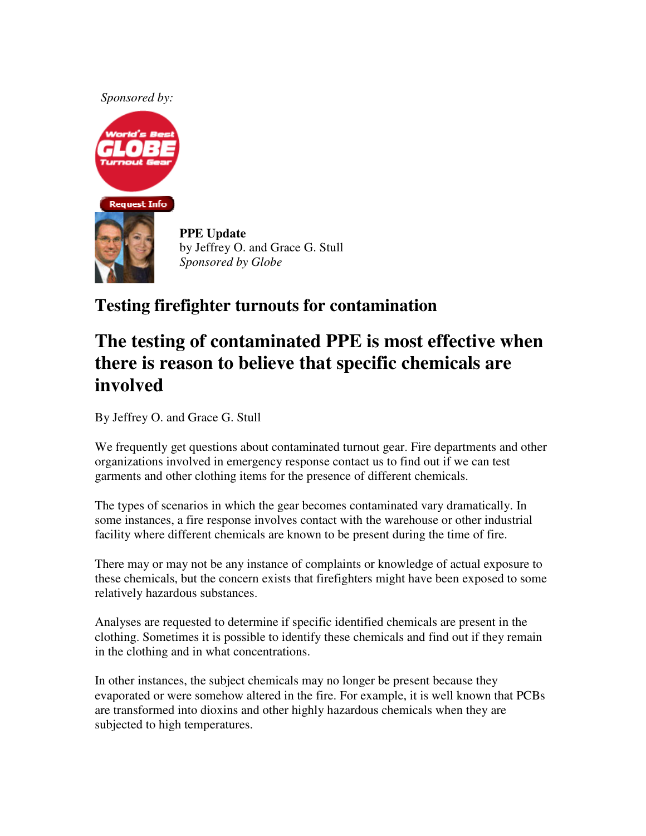*Sponsored by:*



**PPE Update** by Jeffrey O. and Grace G. Stull *Sponsored by Globe*

## **Testing firefighter turnouts for contamination**

# **The testing of contaminated PPE is most effective when there is reason to believe that specific chemicals are involved**

By Jeffrey O. and Grace G. Stull

We frequently get questions about contaminated turnout gear. Fire departments and other organizations involved in emergency response contact us to find out if we can test garments and other clothing items for the presence of different chemicals.

The types of scenarios in which the gear becomes contaminated vary dramatically. In some instances, a fire response involves contact with the warehouse or other industrial facility where different chemicals are known to be present during the time of fire.

There may or may not be any instance of complaints or knowledge of actual exposure to these chemicals, but the concern exists that firefighters might have been exposed to some relatively hazardous substances.

Analyses are requested to determine if specific identified chemicals are present in the clothing. Sometimes it is possible to identify these chemicals and find out if they remain in the clothing and in what concentrations.

In other instances, the subject chemicals may no longer be present because they evaporated or were somehow altered in the fire. For example, it is well known that PCBs are transformed into dioxins and other highly hazardous chemicals when they are subjected to high temperatures.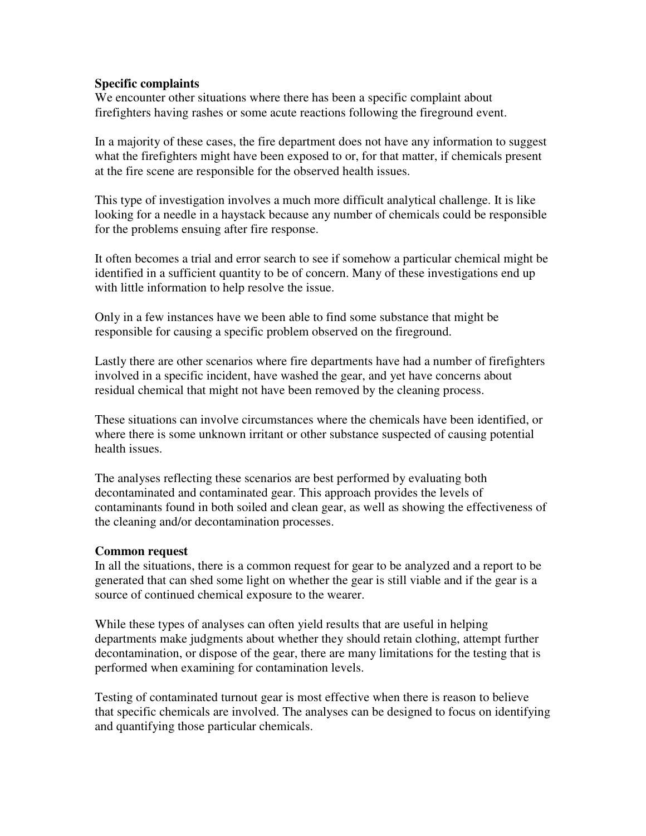#### **Specific complaints**

We encounter other situations where there has been a specific complaint about firefighters having rashes or some acute reactions following the fireground event.

In a majority of these cases, the fire department does not have any information to suggest what the firefighters might have been exposed to or, for that matter, if chemicals present at the fire scene are responsible for the observed health issues.

This type of investigation involves a much more difficult analytical challenge. It is like looking for a needle in a haystack because any number of chemicals could be responsible for the problems ensuing after fire response.

It often becomes a trial and error search to see if somehow a particular chemical might be identified in a sufficient quantity to be of concern. Many of these investigations end up with little information to help resolve the issue.

Only in a few instances have we been able to find some substance that might be responsible for causing a specific problem observed on the fireground.

Lastly there are other scenarios where fire departments have had a number of firefighters involved in a specific incident, have washed the gear, and yet have concerns about residual chemical that might not have been removed by the cleaning process.

These situations can involve circumstances where the chemicals have been identified, or where there is some unknown irritant or other substance suspected of causing potential health issues.

The analyses reflecting these scenarios are best performed by evaluating both decontaminated and contaminated gear. This approach provides the levels of contaminants found in both soiled and clean gear, as well as showing the effectiveness of the cleaning and/or decontamination processes.

#### **Common request**

In all the situations, there is a common request for gear to be analyzed and a report to be generated that can shed some light on whether the gear is still viable and if the gear is a source of continued chemical exposure to the wearer.

While these types of analyses can often yield results that are useful in helping departments make judgments about whether they should retain clothing, attempt further decontamination, or dispose of the gear, there are many limitations for the testing that is performed when examining for contamination levels.

Testing of contaminated turnout gear is most effective when there is reason to believe that specific chemicals are involved. The analyses can be designed to focus on identifying and quantifying those particular chemicals.